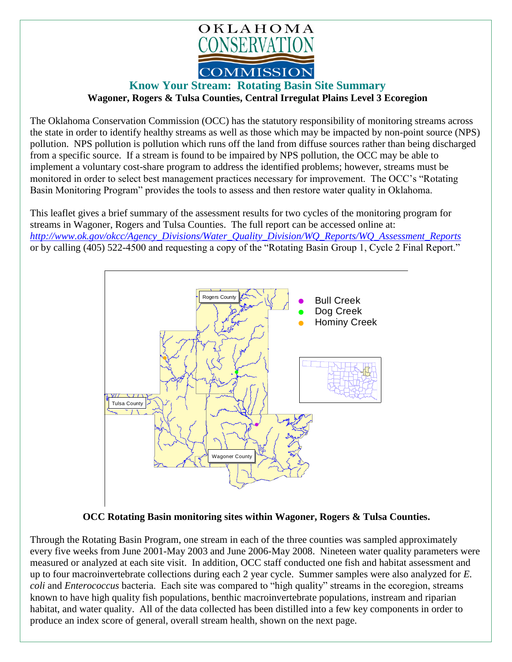

## **Know Your Stream: Rotating Basin Site Summary Wagoner, Rogers & Tulsa Counties, Central Irregulat Plains Level 3 Ecoregion**

The Oklahoma Conservation Commission (OCC) has the statutory responsibility of monitoring streams across the state in order to identify healthy streams as well as those which may be impacted by non-point source (NPS) pollution. NPS pollution is pollution which runs off the land from diffuse sources rather than being discharged from a specific source. If a stream is found to be impaired by NPS pollution, the OCC may be able to implement a voluntary cost-share program to address the identified problems; however, streams must be monitored in order to select best management practices necessary for improvement. The OCC's "Rotating Basin Monitoring Program" provides the tools to assess and then restore water quality in Oklahoma.

This leaflet gives a brief summary of the assessment results for two cycles of the monitoring program for streams in Wagoner, Rogers and Tulsa Counties. The full report can be accessed online at: *[http://www.ok.gov/okcc/Agency\\_Divisions/Water\\_Quality\\_Division/WQ\\_Reports/WQ\\_Assessment\\_Reports](http://www.ok.gov/okcc/Agency_Divisions/Water_Quality_Division/WQ_Reports/WQ_Assessment_Reports)* or by calling (405) 522-4500 and requesting a copy of the "Rotating Basin Group 1, Cycle 2 Final Report."



## **OCC Rotating Basin monitoring sites within Wagoner, Rogers & Tulsa Counties.**

Through the Rotating Basin Program, one stream in each of the three counties was sampled approximately every five weeks from June 2001-May 2003 and June 2006-May 2008. Nineteen water quality parameters were measured or analyzed at each site visit. In addition, OCC staff conducted one fish and habitat assessment and up to four macroinvertebrate collections during each 2 year cycle. Summer samples were also analyzed for *E. coli* and *Enterococcus* bacteria. Each site was compared to "high quality" streams in the ecoregion, streams known to have high quality fish populations, benthic macroinvertebrate populations, instream and riparian habitat, and water quality. All of the data collected has been distilled into a few key components in order to produce an index score of general, overall stream health, shown on the next page.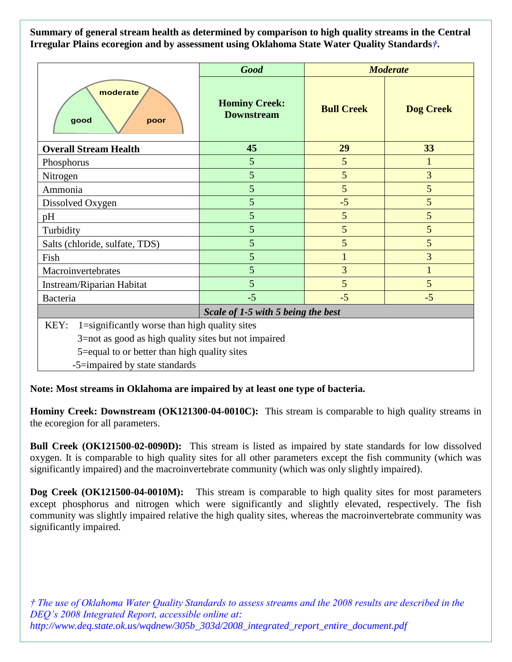**Summary of general stream health as determined by comparison to high quality streams in the Central Irregular Plains ecoregion and by assessment using Oklahoma State Water Quality Standards***†***.**

|                                                       | <b>Good</b>                               | <b>Moderate</b>   |                  |
|-------------------------------------------------------|-------------------------------------------|-------------------|------------------|
| moderate<br>good<br>poor                              | <b>Hominy Creek:</b><br><b>Downstream</b> | <b>Bull Creek</b> | <b>Dog Creek</b> |
| <b>Overall Stream Health</b>                          | 45                                        | 29                | 33               |
| Phosphorus                                            | 5                                         | 5                 | $\mathbf{1}$     |
| Nitrogen                                              | 5                                         | 5                 | $\overline{3}$   |
| Ammonia                                               | 5                                         | 5                 | 5                |
| Dissolved Oxygen                                      | 5                                         | $-5$              | 5                |
| pH                                                    | 5                                         | 5                 | 5                |
| Turbidity                                             | 5                                         | 5                 | 5                |
| Salts (chloride, sulfate, TDS)                        | 5                                         | 5                 | 5                |
| Fish                                                  | 5                                         | $\mathbf{1}$      | 3                |
| Macroinvertebrates                                    | 5                                         | 3                 | $\mathbf{1}$     |
| Instream/Riparian Habitat                             | 5                                         | 5                 | 5                |
| Bacteria                                              | $-5$                                      | $-5$              | $-5$             |
| Scale of 1-5 with 5 being the best                    |                                           |                   |                  |
| 1=significantly worse than high quality sites<br>KEY: |                                           |                   |                  |
| 3=not as good as high quality sites but not impaired  |                                           |                   |                  |
| 5=equal to or better than high quality sites          |                                           |                   |                  |
| -5=impaired by state standards                        |                                           |                   |                  |

**Note: Most streams in Oklahoma are impaired by at least one type of bacteria.**

**Hominy Creek: Downstream (OK121300-04-0010C):** This stream is comparable to high quality streams in the ecoregion for all parameters.

**Bull Creek (OK121500-02-0090D):** This stream is listed as impaired by state standards for low dissolved oxygen. It is comparable to high quality sites for all other parameters except the fish community (which was significantly impaired) and the macroinvertebrate community (which was only slightly impaired).

**Dog Creek (OK121500-04-0010M):** This stream is comparable to high quality sites for most parameters except phosphorus and nitrogen which were significantly and slightly elevated, respectively. The fish community was slightly impaired relative the high quality sites, whereas the macroinvertebrate community was significantly impaired.

*† The use of Oklahoma Water Quality Standards to assess streams and the 2008 results are described in the DEQ's 2008 Integrated Report, accessible online at: http://www.deq.state.ok.us/wqdnew/305b\_303d/2008\_integrated\_report\_entire\_document.pdf*